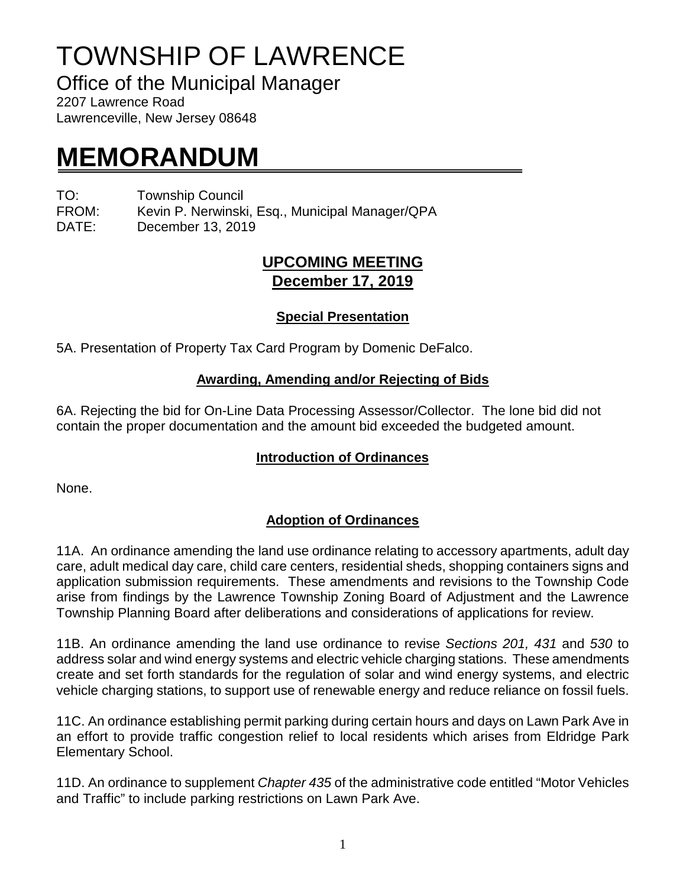# TOWNSHIP OF LAWRENCE

Office of the Municipal Manager

2207 Lawrence Road Lawrenceville, New Jersey 08648

## **MEMORANDUM**

TO: Township Council

FROM: Kevin P. Nerwinski, Esq., Municipal Manager/QPA

DATE: December 13, 2019

### **UPCOMING MEETING December 17, 2019**

#### **Special Presentation**

5A. Presentation of Property Tax Card Program by Domenic DeFalco.

#### **Awarding, Amending and/or Rejecting of Bids**

6A. Rejecting the bid for On-Line Data Processing Assessor/Collector. The lone bid did not contain the proper documentation and the amount bid exceeded the budgeted amount.

#### **Introduction of Ordinances**

None.

#### **Adoption of Ordinances**

11A. An ordinance amending the land use ordinance relating to accessory apartments, adult day care, adult medical day care, child care centers, residential sheds, shopping containers signs and application submission requirements. These amendments and revisions to the Township Code arise from findings by the Lawrence Township Zoning Board of Adjustment and the Lawrence Township Planning Board after deliberations and considerations of applications for review.

11B. An ordinance amending the land use ordinance to revise *Sections 201, 431* and *530* to address solar and wind energy systems and electric vehicle charging stations. These amendments create and set forth standards for the regulation of solar and wind energy systems, and electric vehicle charging stations, to support use of renewable energy and reduce reliance on fossil fuels.

11C. An ordinance establishing permit parking during certain hours and days on Lawn Park Ave in an effort to provide traffic congestion relief to local residents which arises from Eldridge Park Elementary School.

11D. An ordinance to supplement *Chapter 435* of the administrative code entitled "Motor Vehicles and Traffic" to include parking restrictions on Lawn Park Ave.